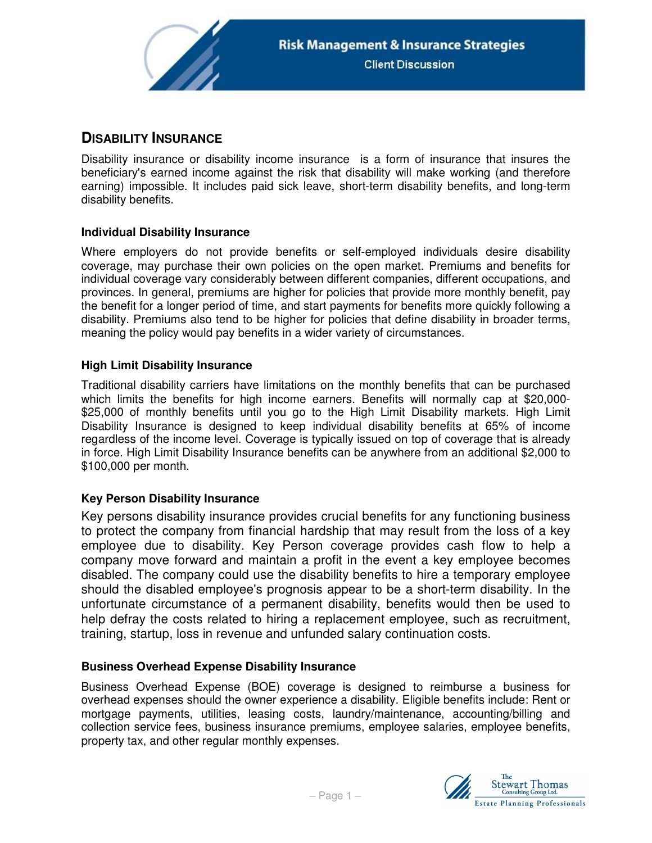

# **DISABILITY INSURANCE**

Disability insurance or disability income insurance is a form of insurance that insures the beneficiary's earned income against the risk that disability will make working (and therefore earning) impossible. It includes paid sick leave, short-term disability benefits, and long-term disability benefits.

## **Individual Disability Insurance**

Where employers do not provide benefits or self-employed individuals desire disability coverage, may purchase their own policies on the open market. Premiums and benefits for individual coverage vary considerably between different companies, different occupations, and provinces. In general, premiums are higher for policies that provide more monthly benefit, pay the benefit for a longer period of time, and start payments for benefits more quickly following a disability. Premiums also tend to be higher for policies that define disability in broader terms, meaning the policy would pay benefits in a wider variety of circumstances.

## **High Limit Disability Insurance**

Traditional disability carriers have limitations on the monthly benefits that can be purchased which limits the benefits for high income earners. Benefits will normally cap at \$20,000- \$25,000 of monthly benefits until you go to the High Limit Disability markets. High Limit Disability Insurance is designed to keep individual disability benefits at 65% of income regardless of the income level. Coverage is typically issued on top of coverage that is already in force. High Limit Disability Insurance benefits can be anywhere from an additional \$2,000 to \$100,000 per month.

## **Key Person Disability Insurance**

Key persons disability insurance provides crucial benefits for any functioning business to protect the company from financial hardship that may result from the loss of a key employee due to disability. Key Person coverage provides cash flow to help a company move forward and maintain a profit in the event a key employee becomes disabled. The company could use the disability benefits to hire a temporary employee should the disabled employee's prognosis appear to be a short-term disability. In the unfortunate circumstance of a permanent disability, benefits would then be used to help defray the costs related to hiring a replacement employee, such as recruitment, training, startup, loss in revenue and unfunded salary continuation costs.

#### **Business Overhead Expense Disability Insurance**

Business Overhead Expense (BOE) coverage is designed to reimburse a business for overhead expenses should the owner experience a disability. Eligible benefits include: Rent or mortgage payments, utilities, leasing costs, laundry/maintenance, accounting/billing and collection service fees, business insurance premiums, employee salaries, employee benefits, property tax, and other regular monthly expenses.

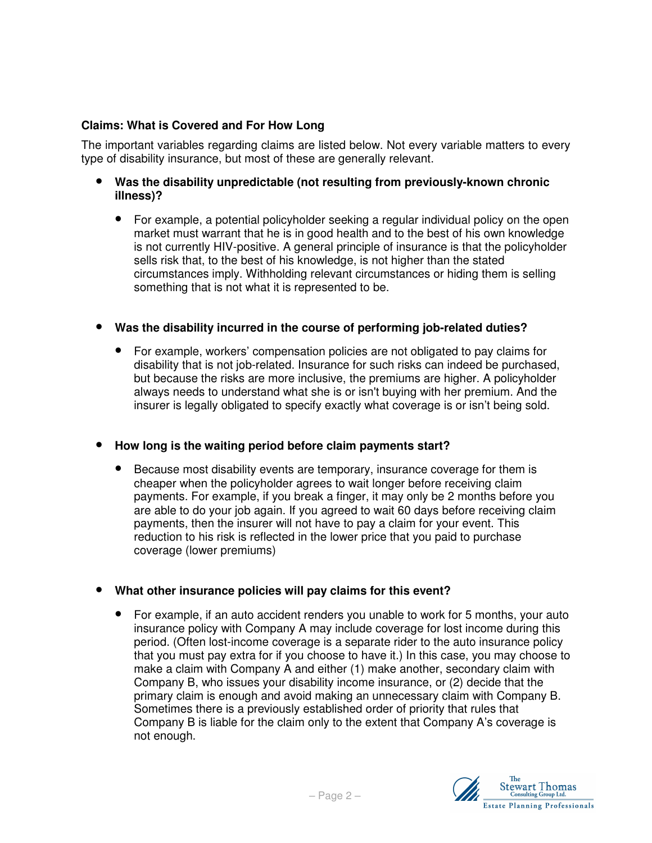## **Claims: What is Covered and For How Long**

The important variables regarding claims are listed below. Not every variable matters to every type of disability insurance, but most of these are generally relevant.

- **Was the disability unpredictable (not resulting from previously-known chronic illness)?** 
	- For example, a potential policyholder seeking a regular individual policy on the open market must warrant that he is in good health and to the best of his own knowledge is not currently HIV-positive. A general principle of insurance is that the policyholder sells risk that, to the best of his knowledge, is not higher than the stated circumstances imply. Withholding relevant circumstances or hiding them is selling something that is not what it is represented to be.

## • **Was the disability incurred in the course of performing job-related duties?**

• For example, workers' compensation policies are not obligated to pay claims for disability that is not job-related. Insurance for such risks can indeed be purchased, but because the risks are more inclusive, the premiums are higher. A policyholder always needs to understand what she is or isn't buying with her premium. And the insurer is legally obligated to specify exactly what coverage is or isn't being sold.

#### • **How long is the waiting period before claim payments start?**

• Because most disability events are temporary, insurance coverage for them is cheaper when the policyholder agrees to wait longer before receiving claim payments. For example, if you break a finger, it may only be 2 months before you are able to do your job again. If you agreed to wait 60 days before receiving claim payments, then the insurer will not have to pay a claim for your event. This reduction to his risk is reflected in the lower price that you paid to purchase coverage (lower premiums)

#### • **What other insurance policies will pay claims for this event?**

• For example, if an auto accident renders you unable to work for 5 months, your auto insurance policy with Company A may include coverage for lost income during this period. (Often lost-income coverage is a separate rider to the auto insurance policy that you must pay extra for if you choose to have it.) In this case, you may choose to make a claim with Company A and either (1) make another, secondary claim with Company B, who issues your disability income insurance, or (2) decide that the primary claim is enough and avoid making an unnecessary claim with Company B. Sometimes there is a previously established order of priority that rules that Company B is liable for the claim only to the extent that Company A's coverage is not enough.